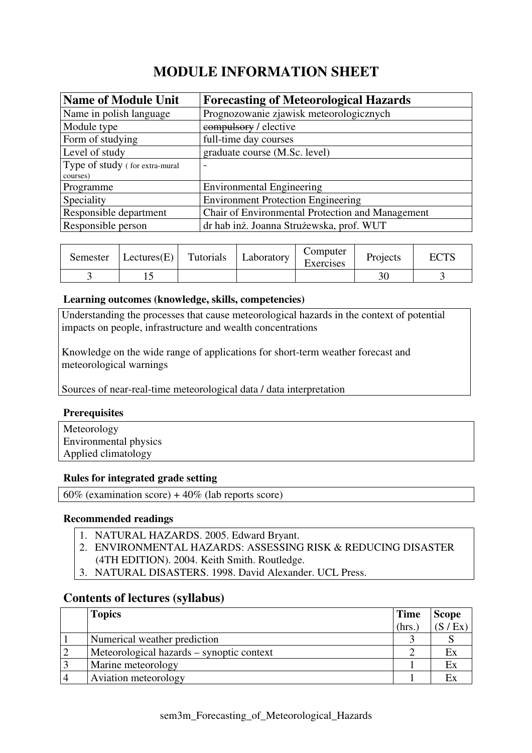# **MODULE INFORMATION SHEET**

| <b>Name of Module Unit</b>     | <b>Forecasting of Meteorological Hazards</b>     |
|--------------------------------|--------------------------------------------------|
| Name in polish language        | Prognozowanie zjawisk meteorologicznych          |
| Module type                    | compulsory / elective                            |
| Form of studying               | full-time day courses                            |
| Level of study                 | graduate course (M.Sc. level)                    |
| Type of study (for extra-mural | $\overline{\phantom{0}}$                         |
| courses)                       |                                                  |
| Programme                      | <b>Environmental Engineering</b>                 |
| Speciality                     | <b>Environment Protection Engineering</b>        |
| Responsible department         | Chair of Environmental Protection and Management |
| Responsible person             | dr hab inż. Joanna Strużewska, prof. WUT         |

| Semester | $ \text{Lectures}(E) $ | Tutorials | Laboratory | Computer<br>Exercises | Projects | ECTS |
|----------|------------------------|-----------|------------|-----------------------|----------|------|
|          |                        |           |            |                       |          |      |

### **Learning outcomes (knowledge, skills, competencies)**

Understanding the processes that cause meteorological hazards in the context of potential impacts on people, infrastructure and wealth concentrations

Knowledge on the wide range of applications for short-term weather forecast and meteorological warnings

Sources of near-real-time meteorological data / data interpretation

### **Prerequisites**

Meteorology Environmental physics Applied climatology

### **Rules for integrated grade setting**

 $60\%$  (examination score) +  $40\%$  (lab reports score)

### **Recommended readings**

- 1. NATURAL HAZARDS. 2005. Edward Bryant.
- 2. ENVIRONMENTAL HAZARDS: ASSESSING RISK & REDUCING DISASTER
- (4TH EDITION). 2004. Keith Smith. Routledge.
- 3. NATURAL DISASTERS. 1998. David Alexander. UCL Press.

### **Contents of lectures (syllabus)**

| <b>Topics</b>                             | <b>Time</b> | <b>Scope</b> |
|-------------------------------------------|-------------|--------------|
|                                           | (hrs.       | (S / Ex)     |
| Numerical weather prediction              |             |              |
| Meteorological hazards – synoptic context |             | Ex           |
| Marine meteorology                        |             | Ex           |
| Aviation meteorology                      |             | Ex           |